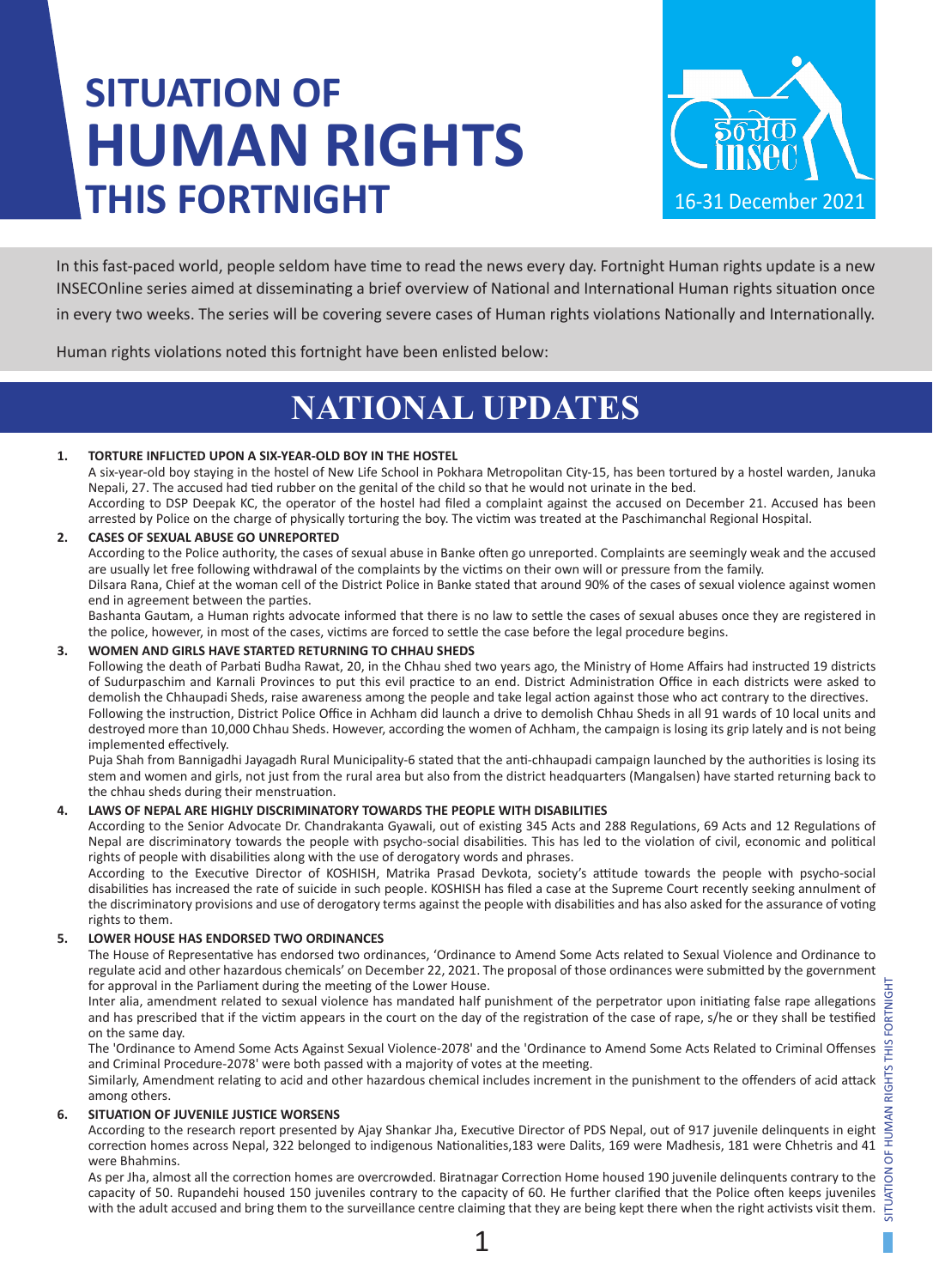# **SITUATION OF HUMAN RIGHTS THIS FORTNIGHT**



In this fast-paced world, people seldom have time to read the news every day. Fortnight Human rights update is a new INSECOnline series aimed at disseminating a brief overview of National and International Human rights situation once in every two weeks. The series will be covering severe cases of Human rights violations Nationally and Internationally.

Human rights violations noted this fortnight have been enlisted below:

# **NATIONAL UPDATES**

### **1. TORTURE INFLICTED UPON A SIX-YEAR-OLD BOY IN THE HOSTEL**

A six-year-old boy staying in the hostel of New Life School in Pokhara Metropolitan City-15, has been tortured by a hostel warden, Januka Nepali, 27. The accused had tied rubber on the genital of the child so that he would not urinate in the bed.

According to DSP Deepak KC, the operator of the hostel had filed a complaint against the accused on December 21. Accused has been arrested by Police on the charge of physically torturing the boy. The victim was treated at the Paschimanchal Regional Hospital.

### **2. CASES OF SEXUAL ABUSE GO UNREPORTED**

According to the Police authority, the cases of sexual abuse in Banke often go unreported. Complaints are seemingly weak and the accused are usually let free following withdrawal of the complaints by the victims on their own will or pressure from the family.

Dilsara Rana, Chief at the woman cell of the District Police in Banke stated that around 90% of the cases of sexual violence against women end in agreement between the parties.

Bashanta Gautam, a Human rights advocate informed that there is no law to settle the cases of sexual abuses once they are registered in the police, however, in most of the cases, victims are forced to settle the case before the legal procedure begins.

### **3. WOMEN AND GIRLS HAVE STARTED RETURNING TO CHHAU SHEDS**

Following the death of Parbati Budha Rawat, 20, in the Chhau shed two years ago, the Ministry of Home Affairs had instructed 19 districts of Sudurpaschim and Karnali Provinces to put this evil practice to an end. District Administration Office in each districts were asked to demolish the Chhaupadi Sheds, raise awareness among the people and take legal action against those who act contrary to the directives. Following the instruction, District Police Office in Achham did launch a drive to demolish Chhau Sheds in all 91 wards of 10 local units and destroyed more than 10,000 Chhau Sheds. However, according the women of Achham, the campaign is losing its grip lately and is not being implemented effectively.

Puja Shah from Bannigadhi Jayagadh Rural Municipality-6 stated that the anti-chhaupadi campaign launched by the authorities is losing its stem and women and girls, not just from the rural area but also from the district headquarters (Mangalsen) have started returning back to the chhau sheds during their menstruation.

### **4. LAWS OF NEPAL ARE HIGHLY DISCRIMINATORY TOWARDS THE PEOPLE WITH DISABILITIES**

According to the Senior Advocate Dr. Chandrakanta Gyawali, out of existing 345 Acts and 288 Regulations, 69 Acts and 12 Regulations of Nepal are discriminatory towards the people with psycho-social disabilities. This has led to the violation of civil, economic and political rights of people with disabilities along with the use of derogatory words and phrases.

According to the Executive Director of KOSHISH, Matrika Prasad Devkota, society's attitude towards the people with psycho-social disabilities has increased the rate of suicide in such people. KOSHISH has filed a case at the Supreme Court recently seeking annulment of the discriminatory provisions and use of derogatory terms against the people with disabilities and has also asked for the assurance of voting rights to them.

### **5. LOWER HOUSE HAS ENDORSED TWO ORDINANCES**

The House of Representative has endorsed two ordinances, 'Ordinance to Amend Some Acts related to Sexual Violence and Ordinance to regulate acid and other hazardous chemicals' on December 22, 2021. The proposal of those ordinances were submitted by the government for approval in the Parliament during the meeting of the Lower House.

Inter alia, amendment related to sexual violence has mandated half punishment of the perpetrator upon initiating false rape allegations and has prescribed that if the victim appears in the court on the day of the registration of the case of rape, s/he or they shall be testified on the same day.

The 'Ordinance to Amend Some Acts Against Sexual Violence-2078' and the 'Ordinance to Amend Some Acts Related to Criminal Offenses and Criminal Procedure-2078' were both passed with a majority of votes at the meeting. and Criminal Procedure-2078' were both passed with a majority of votes at the meeting.

Similarly, Amendment relating to acid and other hazardous chemical includes increment in the punishment to the offenders of acid attack among others.

### **6. SITUATION OF JUVENILE JUSTICE WORSENS**

According to the research report presented by Ajay Shankar Jha, Executive Director of PDS Nepal, out of 917 juvenile delinquents in eight correction homes across Nepal, 322 belonged to indigenous Nationalities,183 were Dalits, 169 were Madhesis, 181 were Chhetris and 41 were Bhahmins.

As per Jha, almost all the correction homes are overcrowded. Biratnagar Correction Home housed 190 juvenile delinquents contrary to the capacity of 50. Rupandehi housed 150 juveniles contrary to the capacity of 60. He further clarified that the Police often keeps juveniles with the adult accused and bring them to the surveillance centre claiming that they are being kept there when the right activists visit them.